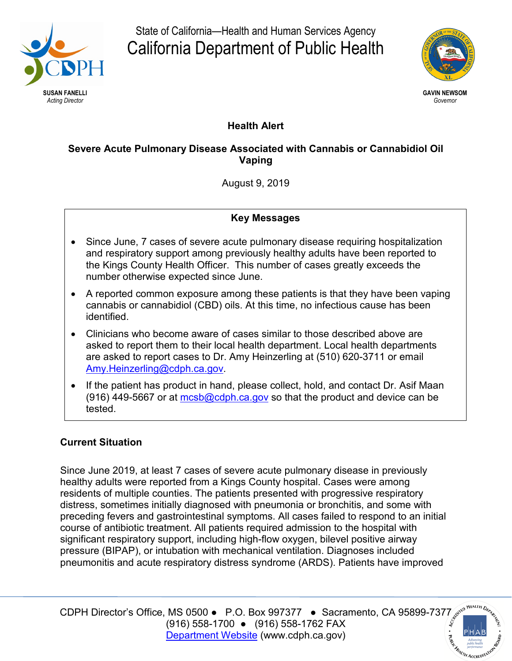

State of California—Health and Human Services Agency California Department of Public Health



# **Health Alert**

## **Severe Acute Pulmonary Disease Associated with Cannabis or Cannabidiol Oil Vaping**

August 9, 2019

### **Key Messages**

- Since June, 7 cases of severe acute pulmonary disease requiring hospitalization and respiratory support among previously healthy adults have been reported to the Kings County Health Officer. This number of cases greatly exceeds the number otherwise expected since June.
- A reported common exposure among these patients is that they have been vaping cannabis or cannabidiol (CBD) oils. At this time, no infectious cause has been identified.
- Clinicians who become aware of cases similar to those described above are asked to report them to their local health department. Local health departments are asked to report cases to Dr. Amy Heinzerling at (510) 620-3711 or email [Amy.Heinzerling@cdph.ca.gov.](mailto:Amy.Heinzerling@cdph.ca.gov)
- If the patient has product in hand, please collect, hold, and contact Dr. Asif Maan (916) 449-5667 or at  $mcsb@cdph.ca.gov$  so that the product and device can be tested.

## **Current Situation**

Since June 2019, at least 7 cases of severe acute pulmonary disease in previously healthy adults were reported from a Kings County hospital. Cases were among residents of multiple counties. The patients presented with progressive respiratory distress, sometimes initially diagnosed with pneumonia or bronchitis, and some with preceding fevers and gastrointestinal symptoms. All cases failed to respond to an initial course of antibiotic treatment. All patients required admission to the hospital with significant respiratory support, including high-flow oxygen, bilevel positive airway pressure (BIPAP), or intubation with mechanical ventilation. Diagnoses included pneumonitis and acute respiratory distress syndrome (ARDS). Patients have improved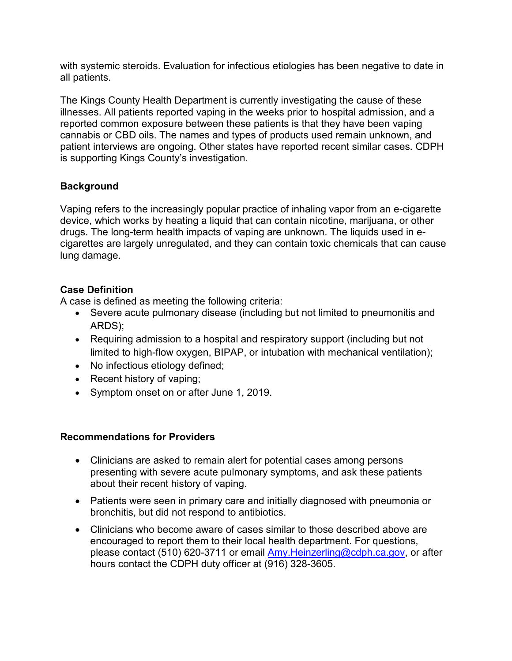with systemic steroids. Evaluation for infectious etiologies has been negative to date in all patients.

The Kings County Health Department is currently investigating the cause of these illnesses. All patients reported vaping in the weeks prior to hospital admission, and a reported common exposure between these patients is that they have been vaping cannabis or CBD oils. The names and types of products used remain unknown, and patient interviews are ongoing. Other states have reported recent similar cases. CDPH is supporting Kings County's investigation.

### **Background**

Vaping refers to the increasingly popular practice of inhaling vapor from an e-cigarette device, which works by heating a liquid that can contain nicotine, marijuana, or other drugs. The long-term health impacts of vaping are unknown. The liquids used in ecigarettes are largely unregulated, and they can contain toxic chemicals that can cause lung damage.

#### **Case Definition**

A case is defined as meeting the following criteria:

- Severe acute pulmonary disease (including but not limited to pneumonitis and ARDS);
- Requiring admission to a hospital and respiratory support (including but not limited to high-flow oxygen, BIPAP, or intubation with mechanical ventilation);
- No infectious etiology defined;
- Recent history of vaping;
- Symptom onset on or after June 1, 2019.

#### **Recommendations for Providers**

- Clinicians are asked to remain alert for potential cases among persons presenting with severe acute pulmonary symptoms, and ask these patients about their recent history of vaping.
- Patients were seen in primary care and initially diagnosed with pneumonia or bronchitis, but did not respond to antibiotics.
- Clinicians who become aware of cases similar to those described above are encouraged to report them to their local health department. For questions, please contact (510) 620-3711 or email [Amy.Heinzerling@cdph.ca.gov,](mailto:Amy.Heinzerling@cdph.ca.gov) or after hours contact the CDPH duty officer at (916) 328-3605.